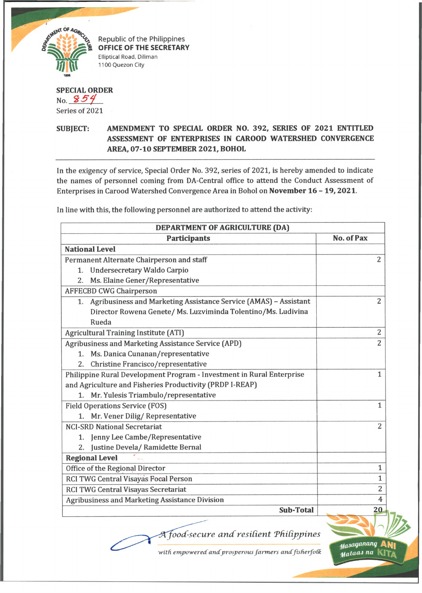

Republic of the Philippines **OFFICE OF THE SECRETARY** Elliptical Road, Diliman 1100 Quezon City

## **SPECIAL ORDER** No. 854 Series of 2021

## **SUBJECT: AMENDMENT TO SPECIAL ORDER NO. 392, SERIES OF 2021 ENTITLED ASSESSMENT OF ENTERPRISES IN CAROOD WATERSHED CONVERGENCE AREA, 07-10 SEPTEMBER 2021, BOHOL**

In the exigency of service, Special Order No. 392, series of 2021, is hereby amended to indicate the names of personnel coming from DA-Central office to attend the Conduct Assessment of Enterprises in Carood Watershed Convergence Area in Bohol on **November 16 - 19,2021.**

**DEPARTMENT OF AGRICULTURE (DA) Participants No. of Pax National Level** 2 Permanent Alternate Chairperson and staff 1. Undersecretary Waldo Carpio 2. Ms. Elaine Gener/Representative AFFECBD CWG Chairperson 1. Agribusiness and Marketing Assistance Service (AMAS) - Assistant 2 Director Rowena Genete/ Ms. Luzviminda Tolentino/Ms. Ludivina Rueda Agricultural Training Institute (ATI) 2 Agribusiness and Marketing Assistance Service (APD) 2 1. Ms. Danica Cunanan/representative 2. Christine Francisco/representative Philippine Rural Development Program - Investment in Rural Enterprise 1 and Agriculture and Fisheries Productivity (PRDP I-REAP) 1. Mr. Yulesis Triambulo/representative Field Operations Service (FOS) 1 1. Mr. Vener Dilig/ Representative 2 NCI-SRD National Secretariat 1. Jenny Lee Cambe/Representative 2. Justine Devela/ Ramidette Bernal **Regional Level** Office of the Regional Director 1 RCI TWG Central Visayas Focal Person 1 RCI TWG Central Visayas Secretariat 2 Agribusiness and Marketing Assistance Division 4 **Sub-Total** 20 *oocC-secure and resident Thidppines*

In line with this, the following personnel are authorized to attend the activity:

*■with empoweredandprosperous farmers andfisherfotk*

*^a»aqaiumq* **Aft|| (KflfuaJ** *na* **kita**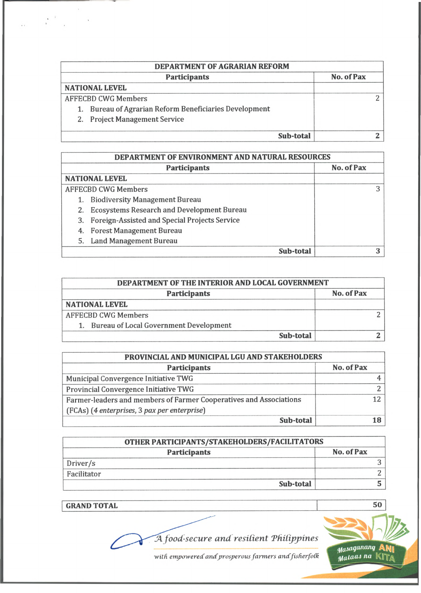| <b>Participants</b>        |                                                        | No. of Pax |
|----------------------------|--------------------------------------------------------|------------|
|                            | <b>NATIONAL LEVEL</b>                                  |            |
| <b>AFFECBD CWG Members</b> |                                                        |            |
|                            | 1. Bureau of Agrarian Reform Beneficiaries Development |            |
|                            | 2. Project Management Service                          |            |
|                            | Sub-total                                              |            |

| DEPARTMENT OF ENVIRONMENT AND NATURAL RESOURCES |                                                   |            |  |
|-------------------------------------------------|---------------------------------------------------|------------|--|
|                                                 | <b>Participants</b>                               | No. of Pax |  |
|                                                 | <b>NATIONAL LEVEL</b>                             |            |  |
|                                                 | <b>AFFECBD CWG Members</b>                        |            |  |
|                                                 | <b>Biodiversity Management Bureau</b>             |            |  |
| 2.                                              | <b>Ecosystems Research and Development Bureau</b> |            |  |
| 3.                                              | Foreign-Assisted and Special Projects Service     |            |  |
| 4.                                              | <b>Forest Management Bureau</b>                   |            |  |
| 5.                                              | <b>Land Management Bureau</b>                     |            |  |
|                                                 | Sub-total                                         |            |  |

| DEPARTMENT OF THE INTERIOR AND LOCAL GOVERNMENT |            |  |  |
|-------------------------------------------------|------------|--|--|
| <b>Participants</b>                             | No. of Pax |  |  |
| <b>NATIONAL LEVEL</b>                           |            |  |  |
| <b>AFFECBD CWG Members</b>                      |            |  |  |
| 1. Bureau of Local Government Development       |            |  |  |
| Sub-total                                       |            |  |  |

| PROVINCIAL AND MUNICIPAL LGU AND STAKEHOLDERS                      |            |  |
|--------------------------------------------------------------------|------------|--|
| <b>Participants</b>                                                | No. of Pax |  |
| Municipal Convergence Initiative TWG                               |            |  |
| Provincial Convergence Initiative TWG                              |            |  |
| Farmer-leaders and members of Farmer Cooperatives and Associations |            |  |
| (FCAs) (4 enterprises, 3 pax per enterprise)                       |            |  |
| Sub-total                                                          |            |  |

| OTHER PARTICIPANTS/STAKEHOLDERS/FACILITATORS |                     |            |
|----------------------------------------------|---------------------|------------|
|                                              | <b>Participants</b> | No. of Pax |
| Driver/s                                     |                     |            |
| Facilitator                                  |                     |            |
|                                              | Sub-total           |            |

**GRAND TOTAL** 50

 $\bar{\mathbf{X}}$ 

 $A$  *food-secure and resilient Philippines* 



with empowered and prosperous farmers and fisherfolk